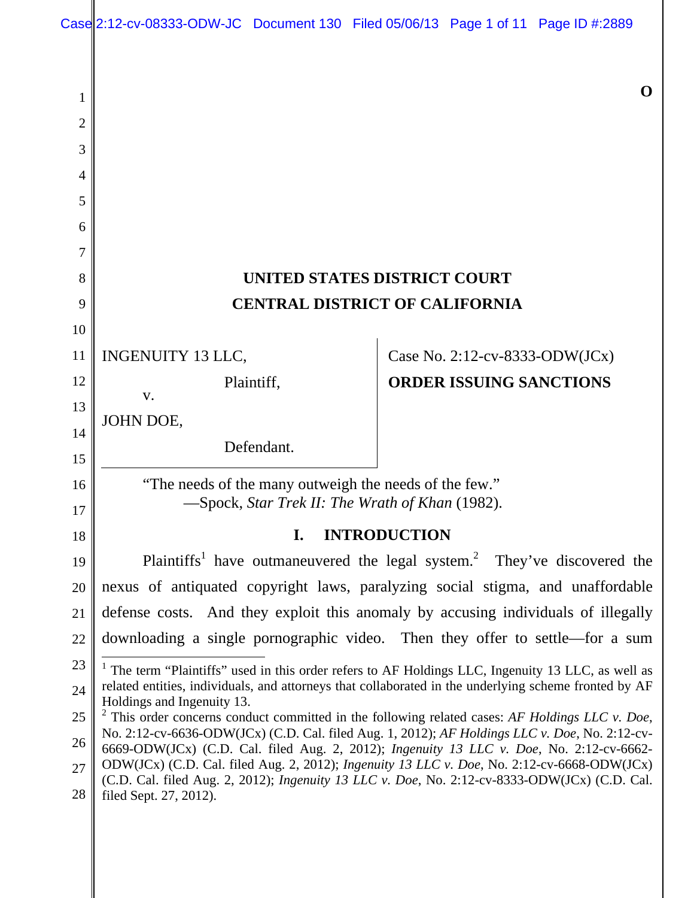# **UNITED STATES DISTRICT COURT CENTRAL DISTRICT OF CALIFORNIA**

INGENUITY 13 LLC, 11

Plaintiff,

Defendant.

JOHN DOE,

1

2

3

4

5

6

7

8

9

10

12

13

14

15

16

17

18

v.

Case No. 2:12-cv-8333-ODW(JCx) **ORDER ISSUING SANCTIONS** 

"The needs of the many outweigh the needs of the few." —Spock, *Star Trek II: The Wrath of Khan* (1982).

## **I. INTRODUCTION**

Plaintiffs<sup>1</sup> have outmaneuvered the legal system.<sup>2</sup> They've discovered the nexus of antiquated copyright laws, paralyzing social stigma, and unaffordable defense costs. And they exploit this anomaly by accusing individuals of illegally downloading a single pornographic video. Then they offer to settle—for a sum 19 20 21 22

<sup>2</sup> This order concerns conduct committed in the following related cases: *AF Holdings LLC v. Doe*, No. 2:12-cv-6636-ODW(JCx) (C.D. Cal. filed Aug. 1, 2012); *AF Holdings LLC v. Doe*, No. 2:12-cv-6669-ODW(JCx) (C.D. Cal. filed Aug. 2, 2012); *Ingenuity 13 LLC v. Doe*, No. 2:12-cv-6662- ODW(JCx) (C.D. Cal. filed Aug. 2, 2012); *Ingenuity 13 LLC v. Doe*, No. 2:12-cv-6668-ODW(JCx) (C.D. Cal. filed Aug. 2, 2012); *Ingenuity 13 LLC v. Doe*, No. 2:12-cv-8333-ODW(JCx) (C.D. Cal. filed Sept. 27, 2012). 25 26 27 28

**O** 

 $\overline{\phantom{a}}$ <sup>1</sup> The term "Plaintiffs" used in this order refers to AF Holdings LLC, Ingenuity 13 LLC, as well as related entities, individuals, and attorneys that collaborated in the underlying scheme fronted by AF Holdings and Ingenuity 13. 23 24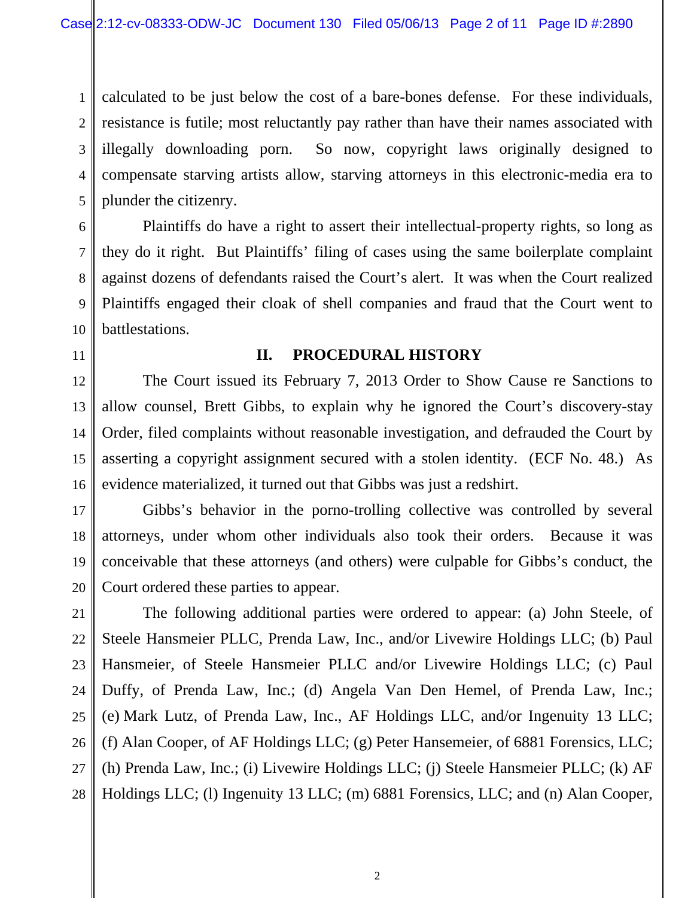1 2 calculated to be just below the cost of a bare-bones defense. For these individuals, resistance is futile; most reluctantly pay rather than have their names associated with illegally downloading porn. So now, copyright laws originally designed to compensate starving artists allow, starving attorneys in this electronic-media era to plunder the citizenry.

Plaintiffs do have a right to assert their intellectual-property rights, so long as they do it right. But Plaintiffs' filing of cases using the same boilerplate complaint against dozens of defendants raised the Court's alert. It was when the Court realized Plaintiffs engaged their cloak of shell companies and fraud that the Court went to battlestations.

#### **II. PROCEDURAL HISTORY**

The Court issued its February 7, 2013 Order to Show Cause re Sanctions to allow counsel, Brett Gibbs, to explain why he ignored the Court's discovery-stay Order, filed complaints without reasonable investigation, and defrauded the Court by asserting a copyright assignment secured with a stolen identity. (ECF No. 48.) As evidence materialized, it turned out that Gibbs was just a redshirt.

Gibbs's behavior in the porno-trolling collective was controlled by several attorneys, under whom other individuals also took their orders. Because it was conceivable that these attorneys (and others) were culpable for Gibbs's conduct, the Court ordered these parties to appear.

The following additional parties were ordered to appear: (a) John Steele, of Steele Hansmeier PLLC, Prenda Law, Inc., and/or Livewire Holdings LLC; (b) Paul Hansmeier, of Steele Hansmeier PLLC and/or Livewire Holdings LLC; (c) Paul Duffy, of Prenda Law, Inc.; (d) Angela Van Den Hemel, of Prenda Law, Inc.; (e) Mark Lutz, of Prenda Law, Inc., AF Holdings LLC, and/or Ingenuity 13 LLC; (f) Alan Cooper, of AF Holdings LLC; (g) Peter Hansemeier, of 6881 Forensics, LLC; (h) Prenda Law, Inc.; (i) Livewire Holdings LLC; (j) Steele Hansmeier PLLC; (k) AF Holdings LLC; (l) Ingenuity 13 LLC; (m) 6881 Forensics, LLC; and (n) Alan Cooper,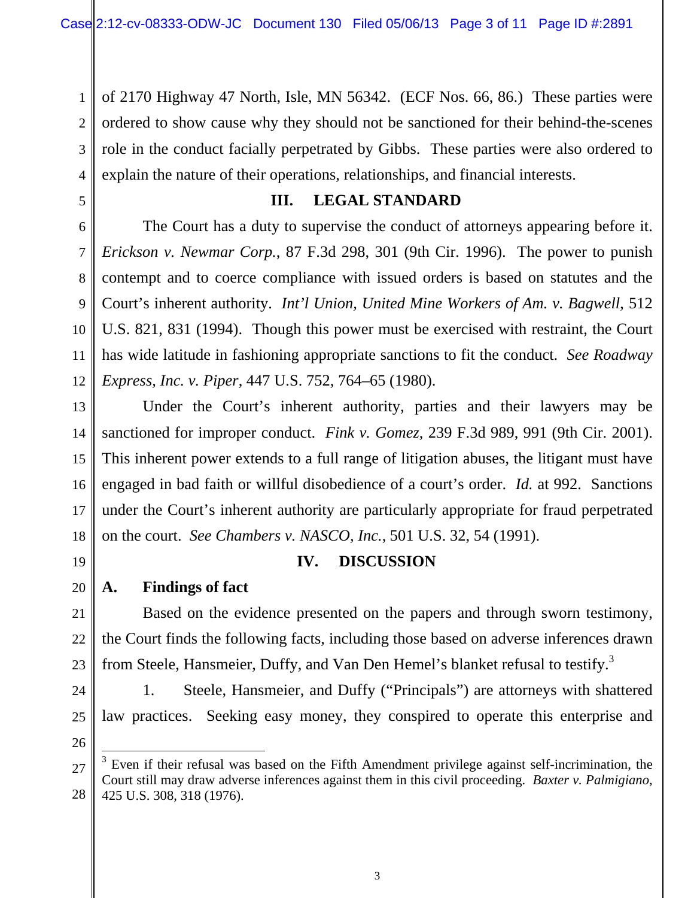1 2 3 4 of 2170 Highway 47 North, Isle, MN 56342. (ECF Nos. 66, 86.) These parties were ordered to show cause why they should not be sanctioned for their behind-the-scenes role in the conduct facially perpetrated by Gibbs. These parties were also ordered to explain the nature of their operations, relationships, and financial interests.

5

6

7

8

9

10

11

12

14

15

16

17

19

20

21

22

#### **III. LEGAL STANDARD**

The Court has a duty to supervise the conduct of attorneys appearing before it. *Erickson v. Newmar Corp.*, 87 F.3d 298, 301 (9th Cir. 1996). The power to punish contempt and to coerce compliance with issued orders is based on statutes and the Court's inherent authority. *Int'l Union, United Mine Workers of Am. v. Bagwell*, 512 U.S. 821, 831 (1994). Though this power must be exercised with restraint, the Court has wide latitude in fashioning appropriate sanctions to fit the conduct. *See Roadway Express, Inc. v. Piper*, 447 U.S. 752, 764–65 (1980).

13 18 Under the Court's inherent authority, parties and their lawyers may be sanctioned for improper conduct. *Fink v. Gomez*, 239 F.3d 989, 991 (9th Cir. 2001). This inherent power extends to a full range of litigation abuses, the litigant must have engaged in bad faith or willful disobedience of a court's order. *Id.* at 992. Sanctions under the Court's inherent authority are particularly appropriate for fraud perpetrated on the court. *See Chambers v. NASCO, Inc.*, 501 U.S. 32, 54 (1991).

#### **IV. DISCUSSION**

## **A. Findings of fact**

Based on the evidence presented on the papers and through sworn testimony, the Court finds the following facts, including those based on adverse inferences drawn from Steele, Hansmeier, Duffy, and Van Den Hemel's blanket refusal to testify.<sup>3</sup>

1. Steele, Hansmeier, and Duffy ("Principals") are attorneys with shattered law practices. Seeking easy money, they conspired to operate this enterprise and

27 28  $3$  Even if their refusal was based on the Fifth Amendment privilege against self-incrimination, the Court still may draw adverse inferences against them in this civil proceeding. *Baxter v. Palmigiano*, 425 U.S. 308, 318 (1976).

 $\overline{\phantom{a}}$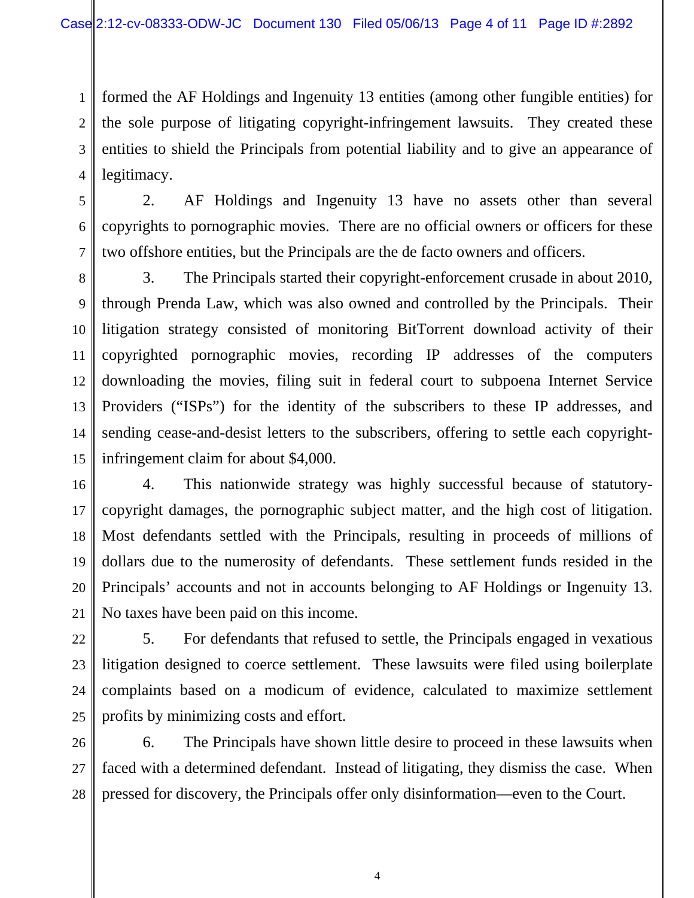1 2 3 4 formed the AF Holdings and Ingenuity 13 entities (among other fungible entities) for the sole purpose of litigating copyright-infringement lawsuits. They created these entities to shield the Principals from potential liability and to give an appearance of legitimacy.

5 6

7

2. AF Holdings and Ingenuity 13 have no assets other than several copyrights to pornographic movies. There are no official owners or officers for these two offshore entities, but the Principals are the de facto owners and officers.

8 9 10 11 12 13 14 15 3. The Principals started their copyright-enforcement crusade in about 2010, through Prenda Law, which was also owned and controlled by the Principals. Their litigation strategy consisted of monitoring BitTorrent download activity of their copyrighted pornographic movies, recording IP addresses of the computers downloading the movies, filing suit in federal court to subpoena Internet Service Providers ("ISPs") for the identity of the subscribers to these IP addresses, and sending cease-and-desist letters to the subscribers, offering to settle each copyrightinfringement claim for about \$4,000.

16 17 18 19 20 4. This nationwide strategy was highly successful because of statutorycopyright damages, the pornographic subject matter, and the high cost of litigation. Most defendants settled with the Principals, resulting in proceeds of millions of dollars due to the numerosity of defendants. These settlement funds resided in the Principals' accounts and not in accounts belonging to AF Holdings or Ingenuity 13. No taxes have been paid on this income.

5. For defendants that refused to settle, the Principals engaged in vexatious litigation designed to coerce settlement. These lawsuits were filed using boilerplate complaints based on a modicum of evidence, calculated to maximize settlement profits by minimizing costs and effort.

6. The Principals have shown little desire to proceed in these lawsuits when faced with a determined defendant. Instead of litigating, they dismiss the case. When pressed for discovery, the Principals offer only disinformation—even to the Court.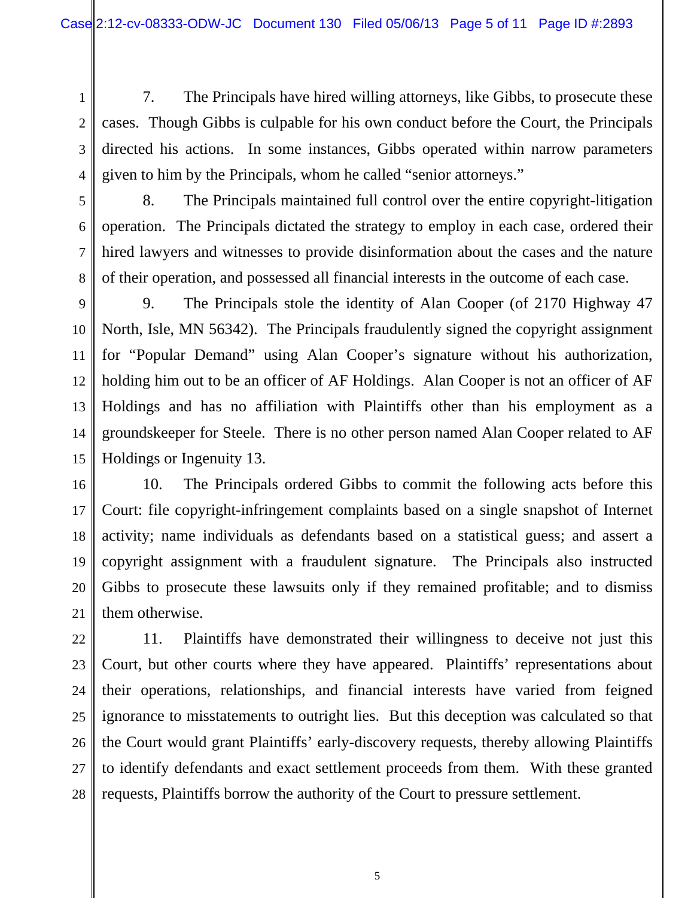7. The Principals have hired willing attorneys, like Gibbs, to prosecute these cases. Though Gibbs is culpable for his own conduct before the Court, the Principals directed his actions. In some instances, Gibbs operated within narrow parameters given to him by the Principals, whom he called "senior attorneys."

5 6

1

2

3

4

7

8. The Principals maintained full control over the entire copyright-litigation operation. The Principals dictated the strategy to employ in each case, ordered their hired lawyers and witnesses to provide disinformation about the cases and the nature of their operation, and possessed all financial interests in the outcome of each case.

9. The Principals stole the identity of Alan Cooper (of 2170 Highway 47 North, Isle, MN 56342). The Principals fraudulently signed the copyright assignment for "Popular Demand" using Alan Cooper's signature without his authorization, holding him out to be an officer of AF Holdings. Alan Cooper is not an officer of AF Holdings and has no affiliation with Plaintiffs other than his employment as a groundskeeper for Steele. There is no other person named Alan Cooper related to AF Holdings or Ingenuity 13.

 10. The Principals ordered Gibbs to commit the following acts before this Court: file copyright-infringement complaints based on a single snapshot of Internet activity; name individuals as defendants based on a statistical guess; and assert a copyright assignment with a fraudulent signature. The Principals also instructed Gibbs to prosecute these lawsuits only if they remained profitable; and to dismiss them otherwise.

11. Plaintiffs have demonstrated their willingness to deceive not just this Court, but other courts where they have appeared. Plaintiffs' representations about their operations, relationships, and financial interests have varied from feigned ignorance to misstatements to outright lies. But this deception was calculated so that the Court would grant Plaintiffs' early-discovery requests, thereby allowing Plaintiffs to identify defendants and exact settlement proceeds from them. With these granted requests, Plaintiffs borrow the authority of the Court to pressure settlement.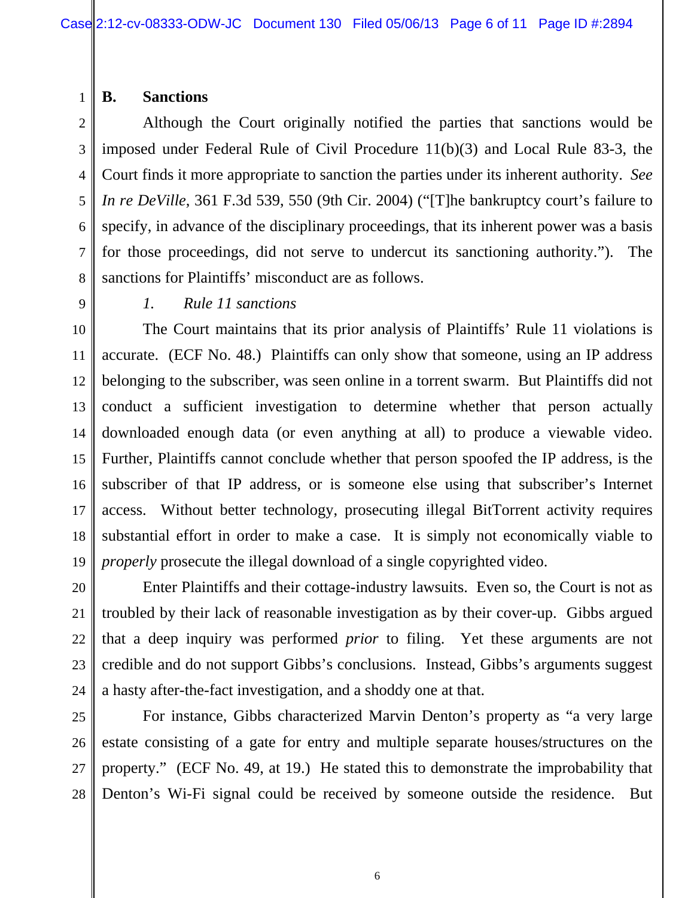#### **B. Sanctions**

Although the Court originally notified the parties that sanctions would be imposed under Federal Rule of Civil Procedure 11(b)(3) and Local Rule 83-3, the Court finds it more appropriate to sanction the parties under its inherent authority. *See In re DeVille*, 361 F.3d 539, 550 (9th Cir. 2004) ("[T]he bankruptcy court's failure to specify, in advance of the disciplinary proceedings, that its inherent power was a basis for those proceedings, did not serve to undercut its sanctioning authority."). The sanctions for Plaintiffs' misconduct are as follows.

20

21

22

23

24

1

2

3

4

5

6

7

## *1. Rule 11 sanctions*

The Court maintains that its prior analysis of Plaintiffs' Rule 11 violations is accurate. (ECF No. 48.) Plaintiffs can only show that someone, using an IP address belonging to the subscriber, was seen online in a torrent swarm. But Plaintiffs did not conduct a sufficient investigation to determine whether that person actually downloaded enough data (or even anything at all) to produce a viewable video. Further, Plaintiffs cannot conclude whether that person spoofed the IP address, is the subscriber of that IP address, or is someone else using that subscriber's Internet access. Without better technology, prosecuting illegal BitTorrent activity requires substantial effort in order to make a case. It is simply not economically viable to *properly* prosecute the illegal download of a single copyrighted video.

Enter Plaintiffs and their cottage-industry lawsuits. Even so, the Court is not as troubled by their lack of reasonable investigation as by their cover-up. Gibbs argued that a deep inquiry was performed *prior* to filing. Yet these arguments are not credible and do not support Gibbs's conclusions. Instead, Gibbs's arguments suggest a hasty after-the-fact investigation, and a shoddy one at that.

25 26 27 28 For instance, Gibbs characterized Marvin Denton's property as "a very large estate consisting of a gate for entry and multiple separate houses/structures on the property." (ECF No. 49, at 19.) He stated this to demonstrate the improbability that Denton's Wi-Fi signal could be received by someone outside the residence. But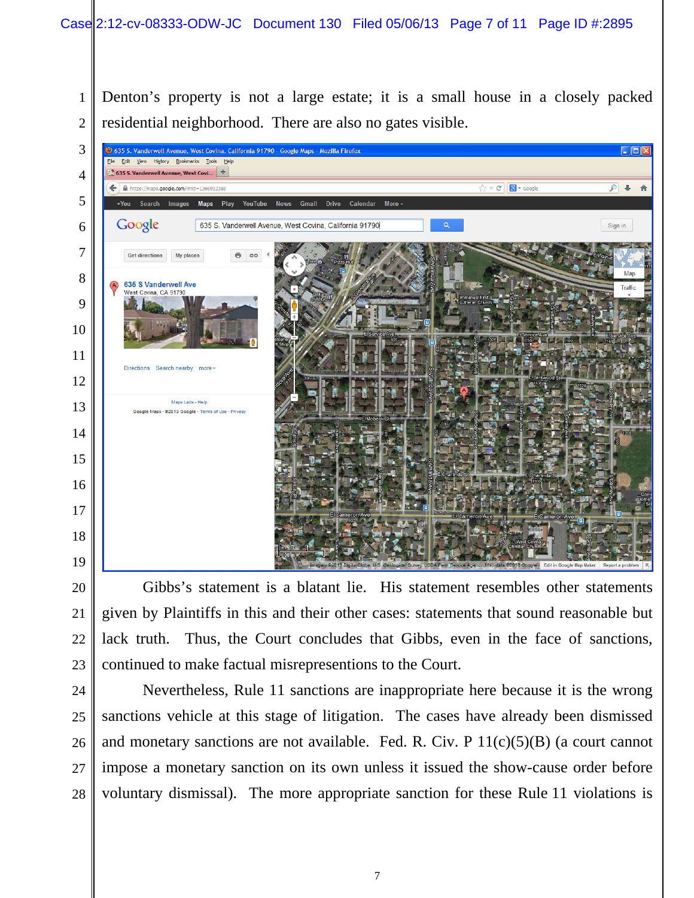Denton's property is not a large estate; it is a small house in a closely packed residential neighborhood. There are also no gates visible.



Gibbs's statement is a blatant lie. His statement resembles other statements given by Plaintiffs in this and their other cases: statements that sound reasonable but lack truth. Thus, the Court concludes that Gibbs, even in the face of sanctions, continued to make factual misrepresentions to the Court.

Nevertheless, Rule 11 sanctions are inappropriate here because it is the wrong sanctions vehicle at this stage of litigation. The cases have already been dismissed and monetary sanctions are not available. Fed. R. Civ. P  $11(c)(5)(B)$  (a court cannot impose a monetary sanction on its own unless it issued the show-cause order before voluntary dismissal). The more appropriate sanction for these Rule 11 violations is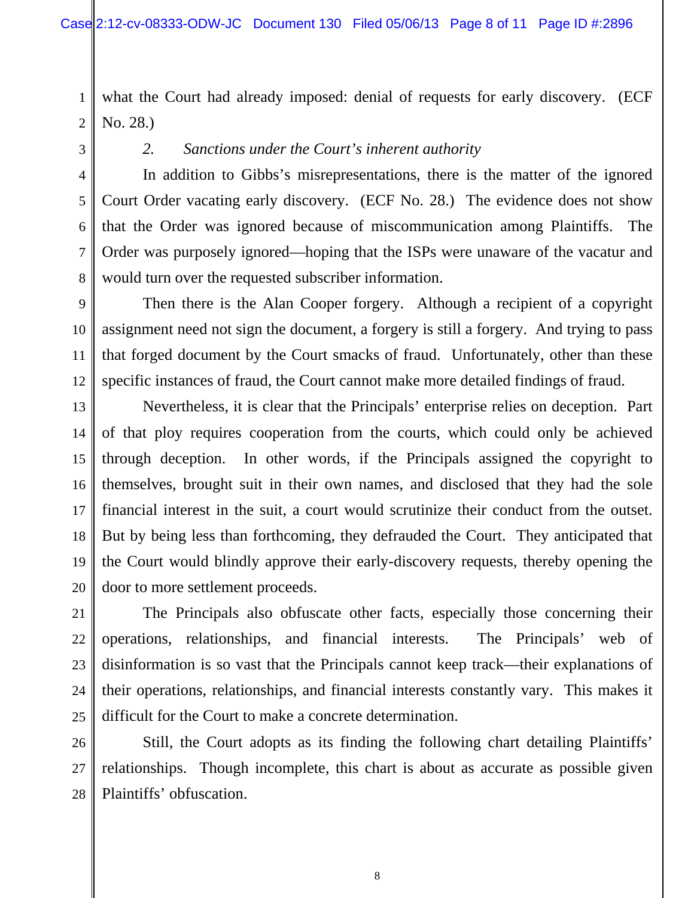1 2 what the Court had already imposed: denial of requests for early discovery. (ECF No. 28.)

3

4

5

6

7

8

11

21

22

23

24

25

*2. Sanctions under the Court's inherent authority* 

In addition to Gibbs's misrepresentations, there is the matter of the ignored Court Order vacating early discovery. (ECF No. 28.) The evidence does not show that the Order was ignored because of miscommunication among Plaintiffs. The Order was purposely ignored—hoping that the ISPs were unaware of the vacatur and would turn over the requested subscriber information.

9 10 12 Then there is the Alan Cooper forgery. Although a recipient of a copyright assignment need not sign the document, a forgery is still a forgery. And trying to pass that forged document by the Court smacks of fraud. Unfortunately, other than these specific instances of fraud, the Court cannot make more detailed findings of fraud.

13 14 15 16 17 18 19 20 Nevertheless, it is clear that the Principals' enterprise relies on deception. Part of that ploy requires cooperation from the courts, which could only be achieved through deception. In other words, if the Principals assigned the copyright to themselves, brought suit in their own names, and disclosed that they had the sole financial interest in the suit, a court would scrutinize their conduct from the outset. But by being less than forthcoming, they defrauded the Court. They anticipated that the Court would blindly approve their early-discovery requests, thereby opening the door to more settlement proceeds.

The Principals also obfuscate other facts, especially those concerning their operations, relationships, and financial interests. The Principals' web of disinformation is so vast that the Principals cannot keep track—their explanations of their operations, relationships, and financial interests constantly vary. This makes it difficult for the Court to make a concrete determination.

26 27 28 Still, the Court adopts as its finding the following chart detailing Plaintiffs' relationships. Though incomplete, this chart is about as accurate as possible given Plaintiffs' obfuscation.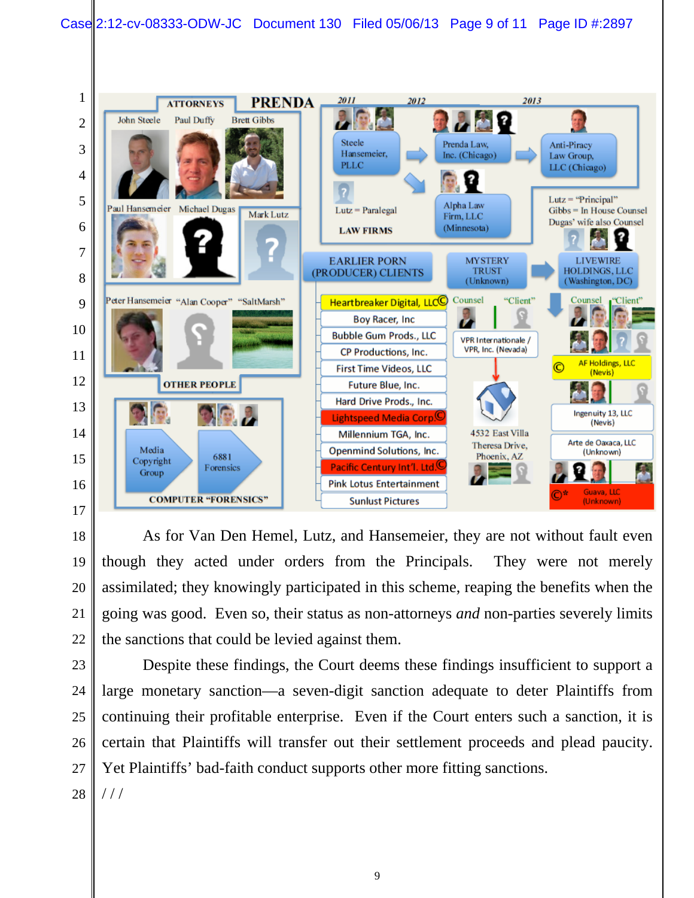

As for Van Den Hemel, Lutz, and Hansemeier, they are not without fault even though they acted under orders from the Principals. They were not merely assimilated; they knowingly participated in this scheme, reaping the benefits when the going was good. Even so, their status as non-attorneys *and* non-parties severely limits the sanctions that could be levied against them.

Despite these findings, the Court deems these findings insufficient to support a large monetary sanction—a seven-digit sanction adequate to deter Plaintiffs from continuing their profitable enterprise. Even if the Court enters such a sanction, it is certain that Plaintiffs will transfer out their settlement proceeds and plead paucity. Yet Plaintiffs' bad-faith conduct supports other more fitting sanctions.

  $///$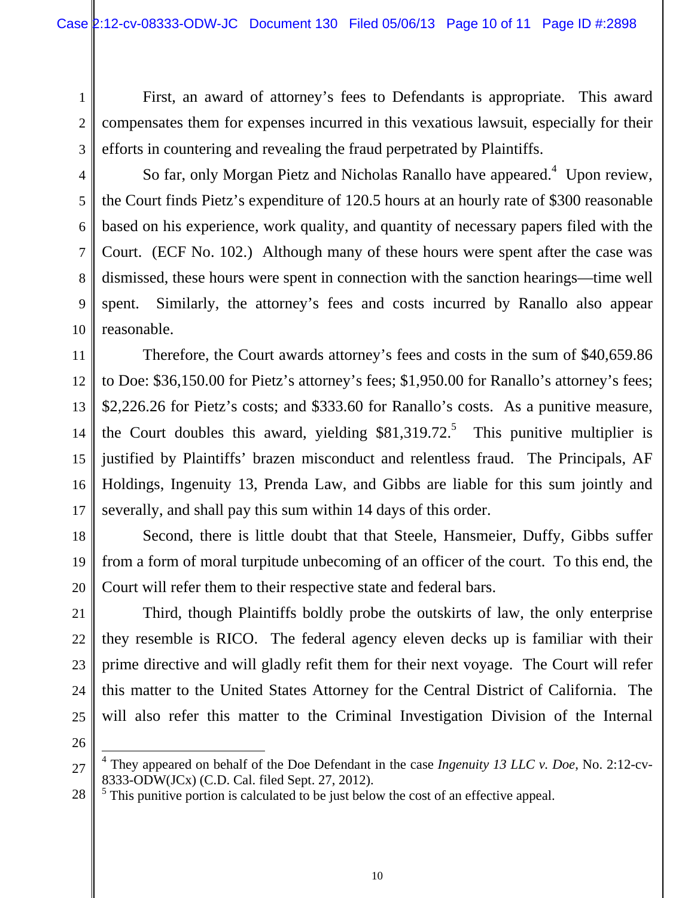First, an award of attorney's fees to Defendants is appropriate. This award compensates them for expenses incurred in this vexatious lawsuit, especially for their efforts in countering and revealing the fraud perpetrated by Plaintiffs.

So far, only Morgan Pietz and Nicholas Ranallo have appeared.<sup>4</sup> Upon review, the Court finds Pietz's expenditure of 120.5 hours at an hourly rate of \$300 reasonable based on his experience, work quality, and quantity of necessary papers filed with the Court. (ECF No. 102.) Although many of these hours were spent after the case was dismissed, these hours were spent in connection with the sanction hearings—time well spent. Similarly, the attorney's fees and costs incurred by Ranallo also appear reasonable.

Therefore, the Court awards attorney's fees and costs in the sum of \$40,659.86 to Doe: \$36,150.00 for Pietz's attorney's fees; \$1,950.00 for Ranallo's attorney's fees; \$2,226.26 for Pietz's costs; and \$333.60 for Ranallo's costs. As a punitive measure, the Court doubles this award, yielding  $$81,319.72$ <sup>5</sup>. This punitive multiplier is justified by Plaintiffs' brazen misconduct and relentless fraud. The Principals, AF Holdings, Ingenuity 13, Prenda Law, and Gibbs are liable for this sum jointly and severally, and shall pay this sum within 14 days of this order.

Second, there is little doubt that that Steele, Hansmeier, Duffy, Gibbs suffer from a form of moral turpitude unbecoming of an officer of the court. To this end, the Court will refer them to their respective state and federal bars.

Third, though Plaintiffs boldly probe the outskirts of law, the only enterprise they resemble is RICO. The federal agency eleven decks up is familiar with their prime directive and will gladly refit them for their next voyage. The Court will refer this matter to the United States Attorney for the Central District of California. The will also refer this matter to the Criminal Investigation Division of the Internal

1

2

3

4

5

6

7

 $\overline{\phantom{a}}$ 4 They appeared on behalf of the Doe Defendant in the case *Ingenuity 13 LLC v. Doe*, No. 2:12-cv-8333-ODW(JCx) (C.D. Cal. filed Sept. 27, 2012).

 $<sup>5</sup>$  This punitive portion is calculated to be just below the cost of an effective appeal.</sup>